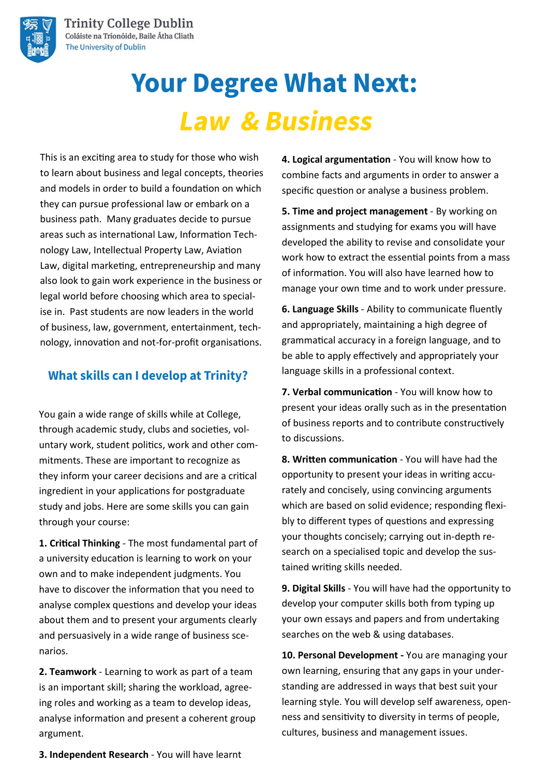

# **Your Degree What Next: Law & Business**

This is an exciting area to study for those who wish to learn about business and legal concepts, theories and models in order to build a foundation on which they can pursue professional law or embark on a business path. Many graduates decide to pursue areas such as international Law, Information Technology Law, Intellectual Property Law, Aviation Law, digital marketing, entrepreneurship and many also look to gain work experience in the business or legal world before choosing which area to specialise in. Past students are now leaders in the world of business, law, government, entertainment, technology, innovation and not-for-profit organisations.

## **What skills can I develop at Trinity?**

You gain a wide range of skills while at College, through academic study, clubs and societies, voluntary work, student politics, work and other commitments. These are important to recognize as they inform your career decisions and are a critical ingredient in your applications for postgraduate study and jobs. Here are some skills you can gain through your course:

**1. Critical Thinking** - The most fundamental part of a university education is learning to work on your own and to make independent judgments. You have to discover the information that you need to analyse complex questions and develop your ideas about them and to present your arguments clearly and persuasively in a wide range of business scenarios.

**2. Teamwork** - Learning to work as part of a team is an important skill; sharing the workload, agreeing roles and working as a team to develop ideas, analyse information and present a coherent group argument.

**4. Logical argumentation** - You will know how to combine facts and arguments in order to answer a specific question or analyse a business problem.

**5. Time and project management** - By working on assignments and studying for exams you will have developed the ability to revise and consolidate your work how to extract the essential points from a mass of information. You will also have learned how to manage your own time and to work under pressure.

**6. Language Skills** - Ability to communicate fluently and appropriately, maintaining a high degree of grammatical accuracy in a foreign language, and to be able to apply effectively and appropriately your language skills in a professional context.

**7. Verbal communication** - You will know how to present your ideas orally such as in the presentation of business reports and to contribute constructively to discussions.

**8. Written communication** - You will have had the opportunity to present your ideas in writing accurately and concisely, using convincing arguments which are based on solid evidence; responding flexibly to different types of questions and expressing your thoughts concisely; carrying out in-depth research on a specialised topic and develop the sustained writing skills needed.

**9. Digital Skills** - You will have had the opportunity to develop your computer skills both from typing up your own essays and papers and from undertaking searches on the web & using databases.

**10. Personal Development -** You are managing your own learning, ensuring that any gaps in your understanding are addressed in ways that best suit your learning style. You will develop self awareness, openness and sensitivity to diversity in terms of people, cultures, business and management issues.

**3. Independent Research** - You will have learnt